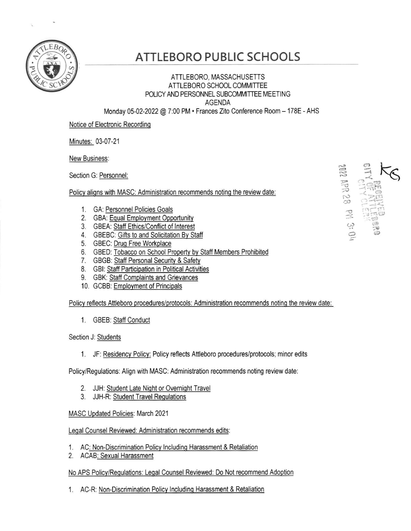

## ATTLEBORO PUBLIC SCHOOLS

## ATTLEBORO, MASSACHUSETTS ATTLEBORO SCHOOL COMMITTEE POLICY AND PERSONNEL SUBCOMMITTEE MEETING AGENDA

 $62$  dd

(,  $\Rightarrow$ 

Monday 05-02-2022 @ 7;00 PM. Frances Zito Conference Room - 178E - AHS

Notice of Electronic Recording

Minutes: 03-07-21

New Business:

Section G: Personnel:

Policy aligns with MASC: Administration recommends noting the review date:

- 1. GA: <u>Personnel Policies Goals</u>
- 2. GBA: <u>Equal Employment Opportunity</u>
- 3. GBEA: <u>Staff Ethics/Conflict of Interest</u>
- 4. GBEBC: Gifts to and Solicitation By Staff
- 5. GBEC: Drug Free Workplace
- 6. GBED: Tobacco on School Property by Staff Members Prohibited
- 7. GBGB: Staff Personal Security & Safety
- 8. GBI: Staff Participation in Political Activities
- 9. GBK: **Staff Complaints and Grievances**
- 10. GCBB: <u>Employment of Principals</u>

Policy reflects Attleboro procedures/protocols: Administration recommends noting the review date:

1. GBEB: Staff Conduct

Section J: Students

1. JF: Residency Policv: Policy reflects Attleboro procedures/protocols; minor edits

Policy/Regulations: Align with MASC: Administration recommends noting review date:

- 2. JJH: Student Late Night or Overnight Travel
- 3. JJH-R: Student Travel Regulations

MASC Updated Policies: March 2021

Legal Counsel Reviewed: Administration recommends edits:

- 1. AC<u>: Non-Discrimination Policy Including Harassment & Retaliation</u>
- 2. ACAB<u>: Sexual Harassmen</u>

## No APS Policy/Regulations: Legal Counsel Reviewed: Do Not recommend Adoption

1. AC-R: Non-Discrimination Policy Including Harassment & Retaliation